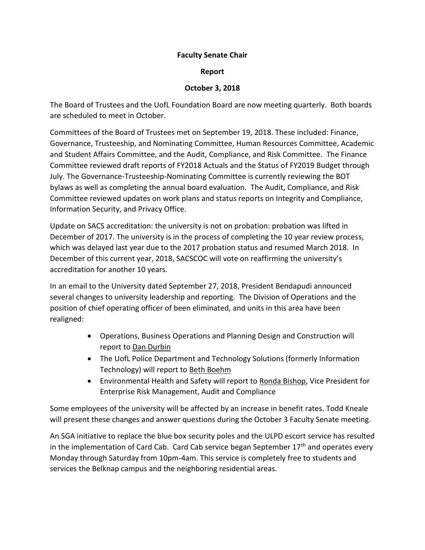## **Faculty Senate Chair**

## **Report**

## **October 3, 2018**

The Board of Trustees and the UofL Foundation Board are now meeting quarterly. Both boards are scheduled to meet in October.

Committees of the Board of Trustees met on September 19, 2018. These included: Finance, Governance, Trusteeship, and Nominating Committee, Human Resources Committee, Academic and Student Affairs Committee, and the Audit, Compliance, and Risk Committee. The Finance Committee reviewed draft reports of FY2018 Actuals and the Status of FY2019 Budget through July. The Governance-Trusteeship-Nominating Committee is currently reviewing the BOT bylaws as well as completing the annual board evaluation. The Audit, Compliance, and Risk Committee reviewed updates on work plans and status reports on Integrity and Compliance, Information Security, and Privacy Office.

Update on SACS accreditation: the university is not on probation: probation was lifted in December of 2017. The university is in the process of completing the 10 year review process, which was delayed last year due to the 2017 probation status and resumed March 2018. In December of this current year, 2018, SACSCOC will vote on reaffirming the university's accreditation for another 10 years.

In an email to the University dated September 27, 2018, President Bendapudi announced several changes to university leadership and reporting. The Division of Operations and the position of chief operating officer of been eliminated, and units in this area have been realigned:

- Operations, Business Operations and Planning Design and Construction will report to Dan Durbin
- The UofL Police Department and Technology Solutions (formerly Information Technology) will report to Beth Boehm
- Environmental Health and Safety will report to Ronda Bishop, Vice President for Enterprise Risk Management, Audit and Compliance

Some employees of the university will be affected by an increase in benefit rates. Todd Kneale will present these changes and answer questions during the October 3 Faculty Senate meeting.

An SGA initiative to replace the blue box security poles and the ULPD escort service has resulted in the implementation of Card Cab. Card Cab service began September  $17<sup>th</sup>$  and operates every Monday through Saturday from 10pm-4am. This service is completely free to students and services the Belknap campus and the neighboring residential areas.